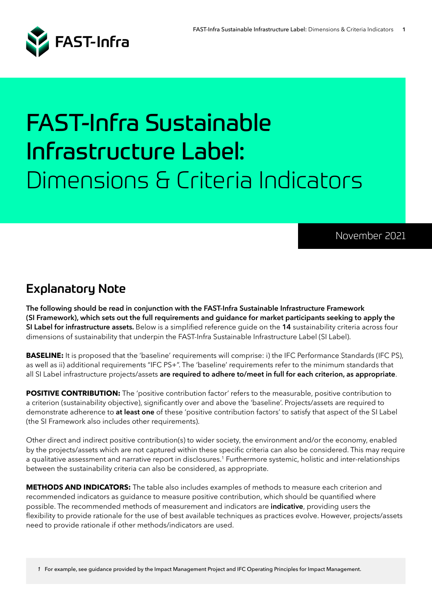

# FAST-Infra Sustainable Infrastructure Label: Dimensions & Criteria Indicators

#### November 2021

## Explanatory Note

**The following should be read in conjunction with the FAST-Infra Sustainable Infrastructure Framework (SI Framework), which sets out the full requirements and guidance for market participants seeking to apply the SI Label for infrastructure assets.** Below is a simplified reference guide on the **14** sustainability criteria across four dimensions of sustainability that underpin the FAST-Infra Sustainable Infrastructure Label (SI Label).

**BASELINE:** It is proposed that the 'baseline' requirements will comprise: i) the IFC Performance Standards (IFC PS), as well as ii) additional requirements "IFC PS+". The 'baseline' requirements refer to the minimum standards that all SI Label infrastructure projects/assets **are required to adhere to/meet in full for each criterion, as appropriate**.

**POSITIVE CONTRIBUTION:** The 'positive contribution factor' refers to the measurable, positive contribution to a criterion (sustainability objective), significantly over and above the 'baseline'. Projects/assets are required to demonstrate adherence to **at least one** of these 'positive contribution factors' to satisfy that aspect of the SI Label (the SI Framework also includes other requirements).

Other direct and indirect positive contribution(s) to wider society, the environment and/or the economy, enabled by the projects/assets which are not captured within these specific criteria can also be considered. This may require a qualitative assessment and narrative report in disclosures.<sup>1</sup> Furthermore systemic, holistic and inter-relationships between the sustainability criteria can also be considered, as appropriate.

**METHODS AND INDICATORS:** The table also includes examples of methods to measure each criterion and recommended indicators as guidance to measure positive contribution, which should be quantified where possible. The recommended methods of measurement and indicators are **indicative**, providing users the flexibility to provide rationale for the use of best available techniques as practices evolve. However, projects/assets need to provide rationale if other methods/indicators are used.

*1* For example, see guidance provided by the Impact Management Project and IFC Operating Principles for Impact Management.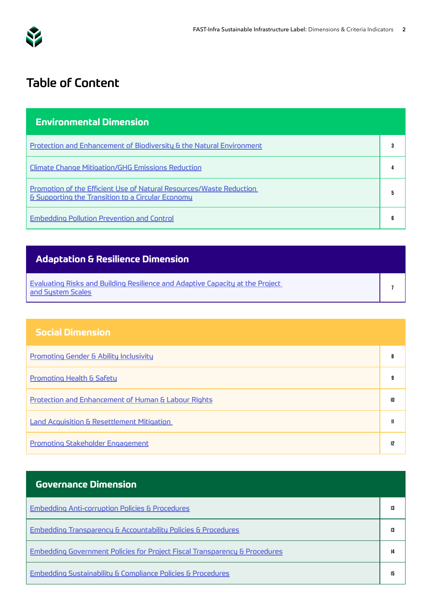<span id="page-1-0"></span>

# Table of Content

| <b>Environmental Dimension</b>                                                                                                      |  |
|-------------------------------------------------------------------------------------------------------------------------------------|--|
| Protection and Enhancement of Biodiversity & the Natural Environment                                                                |  |
| Climate Change Mitigation/GHG Emissions Reduction                                                                                   |  |
| Promotion of the Efficient Use of Natural Resources/Waste Reduction<br><b>&amp; Supporting the Transition to a Circular Economy</b> |  |
| <b>Embedding Pollution Prevention and Control</b>                                                                                   |  |

#### **Adaptation & Resilience Dimension**

[Evaluating Risks and Building Resilience and Adaptive Capacity at the Project](#page-6-0)  [and System Scales](#page-6-0) **<sup>7</sup>**

#### **Social Dimension**

| <b>Promoting Gender &amp; Ability Inclusivity</b>              |    |
|----------------------------------------------------------------|----|
| <b>Promoting Health &amp; Safety</b>                           |    |
| <b>Protection and Enhancement of Human &amp; Labour Rights</b> | 10 |
| <b>Land Acquisition &amp; Resettlement Mitigation</b>          |    |
| <b>Promoting Stakeholder Engagement</b>                        |    |

| <b>Governance Dimension</b>                                                           |    |
|---------------------------------------------------------------------------------------|----|
| <b>Embedding Anti-corruption Policies &amp; Procedures</b>                            | 13 |
| <b>Embedding Transparency &amp; Accountability Policies &amp; Procedures</b>          | 13 |
| <b>Embedding Government Policies for Project Fiscal Transparency &amp; Procedures</b> | 14 |
| <b>Embedding Sustainability &amp; Compliance Policies &amp; Procedures</b>            | 15 |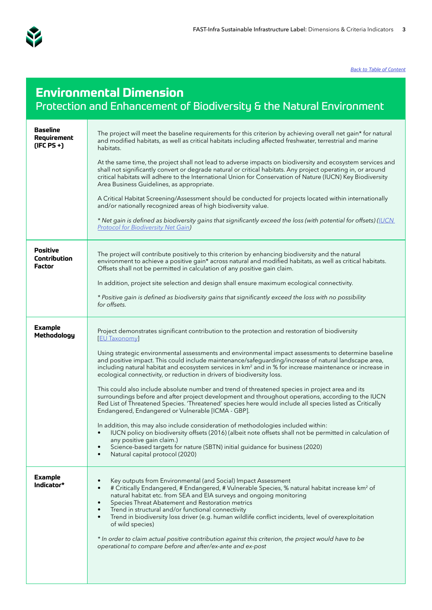<span id="page-2-0"></span>

| <b>Environmental Dimension</b><br>Protection and Enhancement of Biodiversity & the Natural Environment |                                                                                                                                                                                                                                                                                                                                                                                                                                                                                                                                                                                                                                                                                                                                                                                                                                                                                                                                                                                                                                                                                                                                                                                                                                                                              |
|--------------------------------------------------------------------------------------------------------|------------------------------------------------------------------------------------------------------------------------------------------------------------------------------------------------------------------------------------------------------------------------------------------------------------------------------------------------------------------------------------------------------------------------------------------------------------------------------------------------------------------------------------------------------------------------------------------------------------------------------------------------------------------------------------------------------------------------------------------------------------------------------------------------------------------------------------------------------------------------------------------------------------------------------------------------------------------------------------------------------------------------------------------------------------------------------------------------------------------------------------------------------------------------------------------------------------------------------------------------------------------------------|
| <b>Baseline</b><br>Requirement<br>$(IFC PS +)$                                                         | The project will meet the baseline requirements for this criterion by achieving overall net gain* for natural<br>and modified habitats, as well as critical habitats including affected freshwater, terrestrial and marine<br>habitats.<br>At the same time, the project shall not lead to adverse impacts on biodiversity and ecosystem services and<br>shall not significantly convert or degrade natural or critical habitats. Any project operating in, or around<br>critical habitats will adhere to the International Union for Conservation of Nature (IUCN) Key Biodiversity<br>Area Business Guidelines, as appropriate.<br>A Critical Habitat Screening/Assessment should be conducted for projects located within internationally<br>and/or nationally recognized areas of high biodiversity value.<br>* Net gain is defined as biodiversity gains that significantly exceed the loss (with potential for offsets) (IUCN<br><b>Protocol for Biodiversity Net Gain)</b>                                                                                                                                                                                                                                                                                            |
| <b>Positive</b><br>Contribution<br>Factor                                                              | The project will contribute positively to this criterion by enhancing biodiversity and the natural<br>environment to achieve a positive gain* across natural and modified habitats, as well as critical habitats.<br>Offsets shall not be permitted in calculation of any positive gain claim.<br>In addition, project site selection and design shall ensure maximum ecological connectivity.<br>* Positive gain is defined as biodiversity gains that significantly exceed the loss with no possibility<br>for offsets.                                                                                                                                                                                                                                                                                                                                                                                                                                                                                                                                                                                                                                                                                                                                                    |
| <b>Example</b><br>Methodology                                                                          | Project demonstrates significant contribution to the protection and restoration of biodiversity<br>[EU Taxonomy]<br>Using strategic environmental assessments and environmental impact assessments to determine baseline<br>and positive impact. This could include maintenance/safeguarding/increase of natural landscape area,<br>including natural habitat and ecosystem services in km <sup>2</sup> and in % for increase maintenance or increase in<br>ecological connectivity, or reduction in drivers of biodiversity loss.<br>This could also include absolute number and trend of threatened species in project area and its<br>surroundings before and after project development and throughout operations, according to the IUCN<br>Red List of Threatened Species. 'Threatened' species here would include all species listed as Critically<br>Endangered, Endangered or Vulnerable [ICMA - GBP].<br>In addition, this may also include consideration of methodologies included within:<br>IUCN policy on biodiversity offsets (2016) (albeit note offsets shall not be permitted in calculation of<br>any positive gain claim.)<br>Science-based targets for nature (SBTN) initial guidance for business (2020)<br>Natural capital protocol (2020)<br>$\bullet$ |
| <b>Example</b><br>Indicator*                                                                           | Key outputs from Environmental (and Social) Impact Assessment<br># Critically Endangered, # Endangered, # Vulnerable Species, % natural habitat increase km <sup>2</sup> of<br>$\bullet$<br>natural habitat etc. from SEA and EIA surveys and ongoing monitoring<br>Species Threat Abatement and Restoration metrics<br>$\bullet$<br>Trend in structural and/or functional connectivity<br>$\bullet$<br>Trend in biodiversity loss driver (e.g. human wildlife conflict incidents, level of overexploitation<br>$\bullet$<br>of wild species)<br>* In order to claim actual positive contribution against this criterion, the project would have to be<br>operational to compare before and after/ex-ante and ex-post                                                                                                                                                                                                                                                                                                                                                                                                                                                                                                                                                        |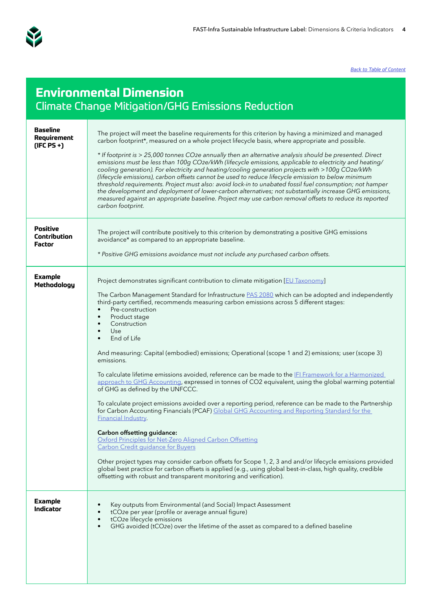<span id="page-3-0"></span>

| <b>Environmental Dimension</b><br>Climate Change Mitigation/GHG Emissions Reduction |                                                                                                                                                                                                                                                                                                                                                                                                                                                                                                                                                                                                                                                                                                                                                                                                                                                                                                                                                                                                                                                                                                                                                                                                                                                                                                                                                                                                                                                                                  |
|-------------------------------------------------------------------------------------|----------------------------------------------------------------------------------------------------------------------------------------------------------------------------------------------------------------------------------------------------------------------------------------------------------------------------------------------------------------------------------------------------------------------------------------------------------------------------------------------------------------------------------------------------------------------------------------------------------------------------------------------------------------------------------------------------------------------------------------------------------------------------------------------------------------------------------------------------------------------------------------------------------------------------------------------------------------------------------------------------------------------------------------------------------------------------------------------------------------------------------------------------------------------------------------------------------------------------------------------------------------------------------------------------------------------------------------------------------------------------------------------------------------------------------------------------------------------------------|
| Baseline<br>Requirement<br>$(IFC PS +)$                                             | The project will meet the baseline requirements for this criterion by having a minimized and managed<br>carbon footprint*, measured on a whole project lifecycle basis, where appropriate and possible.<br>* If footprint is > 25,000 tonnes CO2e annually then an alternative analysis should be presented. Direct<br>emissions must be less than 100g CO2e/kWh (lifecycle emissions, applicable to electricity and heating/<br>cooling generation). For electricity and heating/cooling generation projects with >100g CO2e/kWh<br>(lifecycle emissions), carbon offsets cannot be used to reduce lifecycle emission to below minimum<br>threshold requirements. Project must also: avoid lock-in to unabated fossil fuel consumption; not hamper<br>the development and deployment of lower-carbon alternatives; not substantially increase GHG emissions,<br>measured against an appropriate baseline. Project may use carbon removal offsets to reduce its reported<br>carbon footprint.                                                                                                                                                                                                                                                                                                                                                                                                                                                                                    |
| <b>Positive</b><br>Contribution<br>Factor                                           | The project will contribute positively to this criterion by demonstrating a positive GHG emissions<br>avoidance* as compared to an appropriate baseline.<br>* Positive GHG emissions avoidance must not include any purchased carbon offsets.                                                                                                                                                                                                                                                                                                                                                                                                                                                                                                                                                                                                                                                                                                                                                                                                                                                                                                                                                                                                                                                                                                                                                                                                                                    |
| <b>Example</b><br>Methodology                                                       | Project demonstrates significant contribution to climate mitigation [EU Taxonomy]<br>The Carbon Management Standard for Infrastructure PAS 2080 which can be adopted and independently<br>third-party certified, recommends measuring carbon emissions across 5 different stages:<br>Pre-construction<br>$\bullet$<br>Product stage<br>$\bullet$<br>Construction<br>Use.<br>$\bullet$<br>End of Life<br>$\bullet$<br>And measuring: Capital (embodied) emissions; Operational (scope 1 and 2) emissions; user (scope 3)<br>emissions.<br>To calculate lifetime emissions avoided, reference can be made to the IFI Framework for a Harmonized<br>approach to GHG Accounting, expressed in tonnes of CO2 equivalent, using the global warming potential<br>of GHG as defined by the UNFCCC.<br>To calculate project emissions avoided over a reporting period, reference can be made to the Partnership<br>for Carbon Accounting Financials (PCAF) Global GHG Accounting and Reporting Standard for the<br><b>Financial Industry.</b><br>Carbon offsetting guidance:<br>Oxford Principles for Net-Zero Aligned Carbon Offsetting<br><b>Carbon Credit guidance for Buyers</b><br>Other project types may consider carbon offsets for Scope 1, 2, 3 and and/or lifecycle emissions provided<br>global best practice for carbon offsets is applied (e.g., using global best-in-class, high quality, credible<br>offsetting with robust and transparent monitoring and verification). |
| <b>Example</b><br>Indicator                                                         | Key outputs from Environmental (and Social) Impact Assessment<br>tCO2e per year (profile or average annual figure)<br>tCO2e lifecycle emissions<br>GHG avoided (tCO2e) over the lifetime of the asset as compared to a defined baseline<br>$\bullet$                                                                                                                                                                                                                                                                                                                                                                                                                                                                                                                                                                                                                                                                                                                                                                                                                                                                                                                                                                                                                                                                                                                                                                                                                             |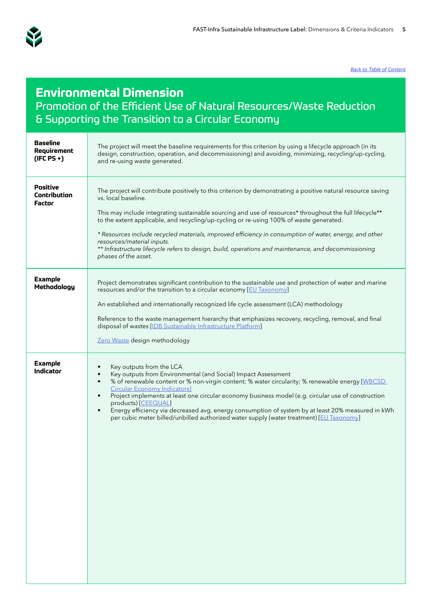<span id="page-4-0"></span>

#### **Environmental Dimension**  Promotion of the Efficient Use of Natural Resources/Waste Reduction & Supporting the Transition to a Circular Economy

| <b>Baseline</b><br>Requirement<br>$(IFC PS +)$ | The project will meet the baseline requirements for this criterion by using a lifecycle approach (in its<br>design, construction, operation, and decommissioning) and avoiding, minimizing, recycling/up-cycling,<br>and re-using waste generated.                                                                                                                                                                                                                                                                                                                                                                                |
|------------------------------------------------|-----------------------------------------------------------------------------------------------------------------------------------------------------------------------------------------------------------------------------------------------------------------------------------------------------------------------------------------------------------------------------------------------------------------------------------------------------------------------------------------------------------------------------------------------------------------------------------------------------------------------------------|
| <b>Positive</b><br>Contribution<br>Factor      | The project will contribute positively to this criterion by demonstrating a positive natural resource saving<br>vs. local baseline.<br>This may include integrating sustainable sourcing and use of resources* throughout the full lifecycle**<br>to the extent applicable, and recycling/up-cycling or re-using 100% of waste generated.<br>* Resources include recycled materials, improved efficiency in consumption of water, energy, and other<br>resources/material inputs.<br>** Infrastructure lifecycle refers to design, build, operations and maintenance, and decommissioning<br>phases of the asset.                 |
| <b>Example</b><br>Methodology                  | Project demonstrates significant contribution to the sustainable use and protection of water and marine<br>resources and/or the transition to a circular economy [EU Taxonomy]<br>An established and internationally recognized life cycle assessment (LCA) methodology<br>Reference to the waste management hierarchy that emphasizes recovery, recycling, removal, and final<br>disposal of wastes [IDB Sustainable Infrastructure Platform]<br>Zero Waste design methodology                                                                                                                                                   |
| <b>Example</b><br>Indicator                    | Key outputs from the LCA<br>$\bullet$<br>Key outputs from Environmental (and Social) Impact Assessment<br>$\bullet$<br>% of renewable content or % non-virgin content; % water circularity; % renewable energy [WBCSD]<br>$\bullet$<br><b>Circular Economy Indicators]</b><br>Project implements at least one circular economy business model (e.g. circular use of construction<br>$\bullet$<br>products) [CEEQUAL]<br>Energy efficiency via decreased avg. energy consumption of system by at least 20% measured in kWh<br>$\bullet$<br>per cubic meter billed/unbilled authorized water supply (water treatment) [EU Taxonomy] |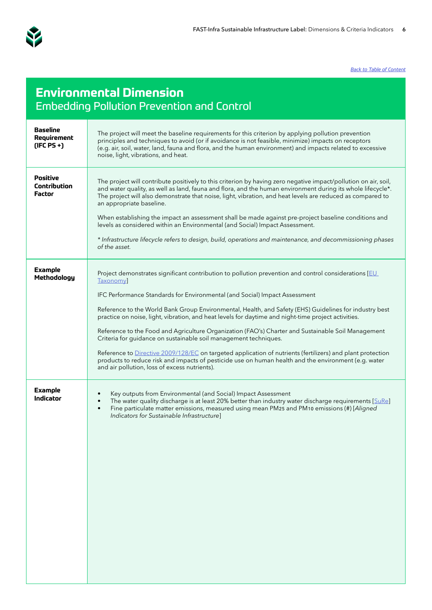<span id="page-5-0"></span>

## **Environmental Dimension**  Embedding Pollution Prevention and Control

| Baseline<br>Requirement<br>$(IFC PS +)$   | The project will meet the baseline requirements for this criterion by applying pollution prevention<br>principles and techniques to avoid (or if avoidance is not feasible, minimize) impacts on receptors<br>(e.g. air, soil, water, land, fauna and flora, and the human environment) and impacts related to excessive<br>noise, light, vibrations, and heat.                                                                                                                                                                                                                                                                                                                                                                                                                                                                                                   |
|-------------------------------------------|-------------------------------------------------------------------------------------------------------------------------------------------------------------------------------------------------------------------------------------------------------------------------------------------------------------------------------------------------------------------------------------------------------------------------------------------------------------------------------------------------------------------------------------------------------------------------------------------------------------------------------------------------------------------------------------------------------------------------------------------------------------------------------------------------------------------------------------------------------------------|
| <b>Positive</b><br>Contribution<br>Factor | The project will contribute positively to this criterion by having zero negative impact/pollution on air, soil,<br>and water quality, as well as land, fauna and flora, and the human environment during its whole lifecycle*.<br>The project will also demonstrate that noise, light, vibration, and heat levels are reduced as compared to<br>an appropriate baseline.<br>When establishing the impact an assessment shall be made against pre-project baseline conditions and<br>levels as considered within an Environmental (and Social) Impact Assessment.<br>* Infrastructure lifecycle refers to design, build, operations and maintenance, and decommissioning phases<br>of the asset.                                                                                                                                                                   |
| <b>Example</b><br>Methodology             | Project demonstrates significant contribution to pollution prevention and control considerations [EU<br>Taxonomy]<br>IFC Performance Standards for Environmental (and Social) Impact Assessment<br>Reference to the World Bank Group Environmental, Health, and Safety (EHS) Guidelines for industry best<br>practice on noise, light, vibration, and heat levels for daytime and night-time project activities.<br>Reference to the Food and Agriculture Organization (FAO's) Charter and Sustainable Soil Management<br>Criteria for guidance on sustainable soil management techniques.<br>Reference to Directive 2009/128/EC on targeted application of nutrients (fertilizers) and plant protection<br>products to reduce risk and impacts of pesticide use on human health and the environment (e.g. water<br>and air pollution, loss of excess nutrients). |
| <b>Example</b><br>Indicator               | Key outputs from Environmental (and Social) Impact Assessment<br>The water quality discharge is at least 20% better than industry water discharge requirements [SuRe]<br>$\bullet$<br>Fine particulate matter emissions, measured using mean PM25 and PM10 emissions (#) [Aligned<br>$\bullet$<br>Indicators for Sustainable Infrastructure]                                                                                                                                                                                                                                                                                                                                                                                                                                                                                                                      |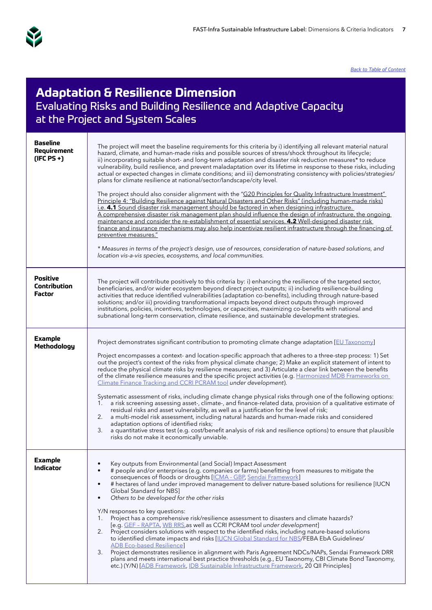<span id="page-6-0"></span>

#### **Adaptation & Resilience Dimension**  Evaluating Risks and Building Resilience and Adaptive Capacity at the Project and System Scales

| <b>Baseline</b><br>Requirement<br>$(IFC PS +)$ | The project will meet the baseline requirements for this criteria by i) identifying all relevant material natural<br>hazard, climate, and human-made risks and possible sources of stress/shock throughout its lifecycle;<br>ii) incorporating suitable short- and long-term adaptation and disaster risk reduction measures* to reduce<br>vulnerability, build resilience, and prevent maladaptation over its lifetime in response to these risks, including<br>actual or expected changes in climate conditions; and iii) demonstrating consistency with policies/strategies/<br>plans for climate resilience at national/sector/landscape/city level.<br>The project should also consider alignment with the "G20 Principles for Quality Infrastructure Investment"<br>Principle 4: "Building Resilience against Natural Disasters and Other Risks" (including human-made risks)<br>i.e. 4.1 Sound disaster risk management should be factored in when designing infrastructure.<br>A comprehensive disaster risk management plan should influence the design of infrastructure, the ongoing<br>maintenance and consider the re-establishment of essential services. 4.2 Well-designed disaster risk<br>finance and insurance mechanisms may also help incentivize resilient infrastructure through the financing of<br>preventive measures."<br>* Measures in terms of the project's design, use of resources, consideration of nature-based solutions, and<br>location vis-a-vis species, ecosystems, and local communities. |
|------------------------------------------------|-----------------------------------------------------------------------------------------------------------------------------------------------------------------------------------------------------------------------------------------------------------------------------------------------------------------------------------------------------------------------------------------------------------------------------------------------------------------------------------------------------------------------------------------------------------------------------------------------------------------------------------------------------------------------------------------------------------------------------------------------------------------------------------------------------------------------------------------------------------------------------------------------------------------------------------------------------------------------------------------------------------------------------------------------------------------------------------------------------------------------------------------------------------------------------------------------------------------------------------------------------------------------------------------------------------------------------------------------------------------------------------------------------------------------------------------------------------------------------------------------------------------------------------|
| Positive<br>Contribution<br>Factor             | The project will contribute positively to this criteria by: i) enhancing the resilience of the targeted sector,<br>beneficiaries, and/or wider ecosystem beyond direct project outputs; ii) including resilience-building<br>activities that reduce identified vulnerabilities (adaptation co-benefits), including through nature-based<br>solutions; and/or iii) providing transformational impacts beyond direct outputs through improved<br>institutions, policies, incentives, technologies, or capacities, maximizing co-benefits with national and<br>subnational long-term conservation, climate resilience, and sustainable development strategies.                                                                                                                                                                                                                                                                                                                                                                                                                                                                                                                                                                                                                                                                                                                                                                                                                                                                       |
| <b>Example</b><br>Methodology                  | Project demonstrates significant contribution to promoting climate change adaptation [EU Taxonomy]<br>Project encompasses a context- and location-specific approach that adheres to a three-step process: 1) Set<br>out the project's context of the risks from physical climate change; 2) Make an explicit statement of intent to<br>reduce the physical climate risks by resilience measures; and 3) Articulate a clear link between the benefits<br>of the climate resilience measures and the specific project activities (e.g. Harmonized MDB Frameworks on<br>Climate Finance Tracking and CCRI PCRAM tool under development).<br>Systematic assessment of risks, including climate change physical risks through one of the following options:<br>a risk screening assessing asset-, climate-, and finance-related data, provision of a qualitative estimate of<br>1.<br>residual risks and asset vulnerability, as well as a justification for the level of risk;<br>a multi-model risk assessment, including natural hazards and human-made risks and considered<br>2.<br>adaptation options of identified risks;<br>a quantitative stress test (e.g. cost/benefit analysis of risk and resilience options) to ensure that plausible<br>3.<br>risks do not make it economically unviable.                                                                                                                                                                                                                               |
| Example<br>Indicator                           | Key outputs from Environmental (and Social) Impact Assessment<br># people and/or enterprises (e.g. companies or farms) benefitting from measures to mitigate the<br>consequences of floods or droughts [ICMA - GBP, Sendai Framework]<br># hectares of land under improved management to deliver nature-based solutions for resilience [IUCN<br>٠<br>Global Standard for NBS]<br>Others to be developed for the other risks<br>Y/N responses to key questions:<br>Project has a comprehensive risk/resilience assessment to disasters and climate hazards?<br>1.<br>[e.g. GEF - RAPTA, WB RRS, as well as CCRI PCRAM tool under development]<br>Project considers solutions with respect to the identified risks, including nature-based solutions<br>2.<br>to identified climate impacts and risks [IUCN Global Standard for NBS/FEBA EbA Guidelines/<br><b>ADB Eco-based Resilience</b><br>3.<br>Project demonstrates resilience in alignment with Paris Agreement NDCs/NAPs, Sendai Framework DRR<br>plans and meets international best practice thresholds (e.g., EU Taxonomy, CBI Climate Bond Taxonomy,<br>etc.) (Y/N) [ADB Framework, IDB Sustainable Infrastructure Framework, 20 QII Principles]                                                                                                                                                                                                                                                                                                                         |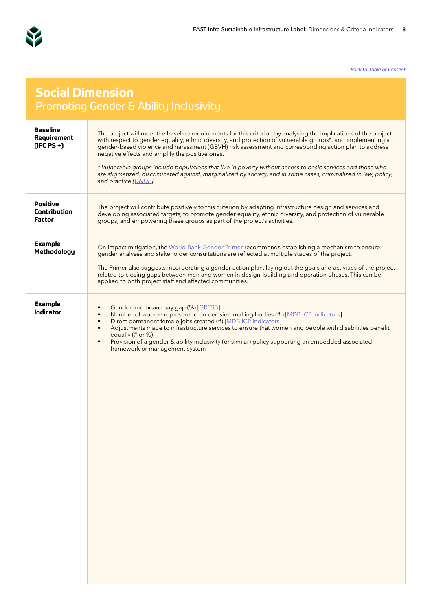<span id="page-7-0"></span>

#### **Social Dimension**  Promoting Gender & Ability Inclusivity

| <b>Baseline</b><br>Requirement<br>$(IFC PS +)$ | The project will meet the baseline requirements for this criterion by analysing the implications of the project<br>with respect to gender equality, ethnic diversity, and protection of vulnerable groups*, and implementing a<br>gender-based violence and harassment (GBVH) risk assessment and corresponding action plan to address<br>negative effects and amplify the positive ones.<br>* Vulnerable groups include populations that live in poverty without access to basic services and those who<br>are stigmatized, discriminated against, marginalized by society, and in some cases, criminalized in law, policy,<br>and practice [UNDP]. |
|------------------------------------------------|------------------------------------------------------------------------------------------------------------------------------------------------------------------------------------------------------------------------------------------------------------------------------------------------------------------------------------------------------------------------------------------------------------------------------------------------------------------------------------------------------------------------------------------------------------------------------------------------------------------------------------------------------|
| Positive<br>Contribution<br><b>Factor</b>      | The project will contribute positively to this criterion by adapting infrastructure design and services and<br>developing associated targets, to promote gender equality, ethnic diversity, and protection of vulnerable<br>groups, and empowering these groups as part of the project's activities.                                                                                                                                                                                                                                                                                                                                                 |
| Example<br>Methodology                         | On impact mitigation, the World Bank Gender Primer recommends establishing a mechanism to ensure<br>gender analyses and stakeholder consultations are reflected at multiple stages of the project.<br>The Primer also suggests incorporating a gender action plan, laying out the goals and activities of the project<br>related to closing gaps between men and women in design, building and operation phases. This can be<br>applied to both project staff and affected communities.                                                                                                                                                              |
| <b>Example</b><br>Indicator                    | Gender and board pay gap (%) [GRESB]<br>$\bullet$<br>Number of women represented on decision-making bodies (#) [MDB ICP indicators]<br>$\bullet$<br>Direct permanent female jobs created (#) [MDB ICP indicators]<br>$\bullet$<br>Adjustments made to infrastructure services to ensure that women and people with disabilities benefit<br>$\bullet$<br>equally $(\#$ or $\%)$<br>Provision of a gender & ability inclusivity (or similar) policy supporting an embedded associated<br>$\bullet$<br>framework or management system                                                                                                                   |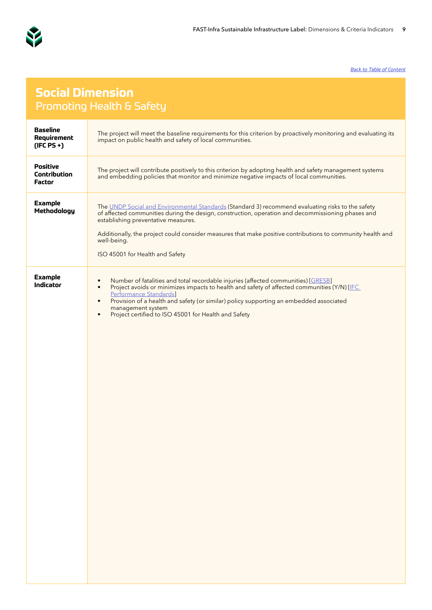<span id="page-8-0"></span>

#### **Social Dimension**  Promoting Health & Safety

| <b>Baseline</b><br>Requirement<br>$(IFC PS +)$ | The project will meet the baseline requirements for this criterion by proactively monitoring and evaluating its<br>impact on public health and safety of local communities.                                                                                                                                                                                                                                                           |
|------------------------------------------------|---------------------------------------------------------------------------------------------------------------------------------------------------------------------------------------------------------------------------------------------------------------------------------------------------------------------------------------------------------------------------------------------------------------------------------------|
| Positive<br>Contribution<br><b>Factor</b>      | The project will contribute positively to this criterion by adopting health and safety management systems<br>and embedding policies that monitor and minimize negative impacts of local communities.                                                                                                                                                                                                                                  |
| <b>Example</b><br>Methodology                  | The UNDP Social and Environmental Standards (Standard 3) recommend evaluating risks to the safety<br>of affected communities during the design, construction, operation and decommissioning phases and<br>establishing preventative measures.<br>Additionally, the project could consider measures that make positive contributions to community health and<br>well-being.<br>ISO 45001 for Health and Safety                         |
| <b>Example</b><br>Indicator                    | Number of fatalities and total recordable injuries (affected communities) [GRESB]<br>$\bullet$<br>Project avoids or minimizes impacts to health and safety of affected communities (Y/N) [IEC<br>$\bullet$<br>Performance Standards]<br>Provision of a health and safety (or similar) policy supporting an embedded associated<br>$\bullet$<br>management system<br>Project certified to ISO 45001 for Health and Safety<br>$\bullet$ |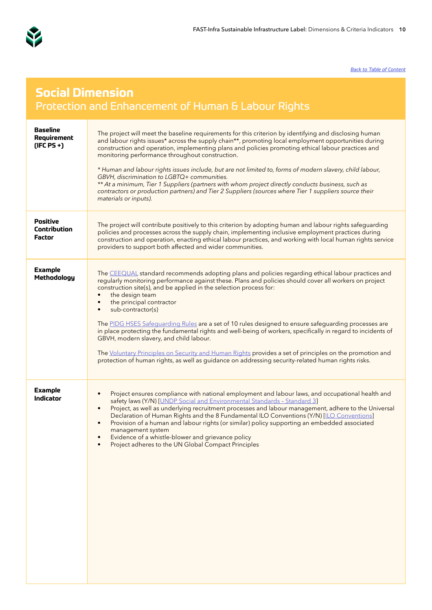<span id="page-9-0"></span>

## **Social Dimension**  Protection and Enhancement of Human & Labour Rights

| <b>Baseline</b><br>Requirement<br>$(IFC PS +)$ | The project will meet the baseline requirements for this criterion by identifying and disclosing human<br>and labour rights issues* across the supply chain**, promoting local employment opportunities during<br>construction and operation, implementing plans and policies promoting ethical labour practices and<br>monitoring performance throughout construction.<br>* Human and labour rights issues include, but are not limited to, forms of modern slavery, child labour,<br>GBVH, discrimination to LGBTQ+ communities.<br>** At a minimum, Tier 1 Suppliers (partners with whom project directly conducts business, such as<br>contractors or production partners) and Tier 2 Suppliers (sources where Tier 1 suppliers source their<br>materials or inputs).                                                                                            |
|------------------------------------------------|----------------------------------------------------------------------------------------------------------------------------------------------------------------------------------------------------------------------------------------------------------------------------------------------------------------------------------------------------------------------------------------------------------------------------------------------------------------------------------------------------------------------------------------------------------------------------------------------------------------------------------------------------------------------------------------------------------------------------------------------------------------------------------------------------------------------------------------------------------------------|
| <b>Positive</b><br>Contribution<br>Factor      | The project will contribute positively to this criterion by adopting human and labour rights safeguarding<br>policies and processes across the supply chain, implementing inclusive employment practices during<br>construction and operation, enacting ethical labour practices, and working with local human rights service<br>providers to support both affected and wider communities.                                                                                                                                                                                                                                                                                                                                                                                                                                                                           |
| <b>Example</b><br>Methodology                  | The CEEQUAL standard recommends adopting plans and policies regarding ethical labour practices and<br>regularly monitoring performance against these. Plans and policies should cover all workers on project<br>construction site(s), and be applied in the selection process for:<br>the design team<br>$\bullet$<br>the principal contractor<br>$\bullet$<br>sub-contractor(s)<br>The PIDG HSES Safeguarding Rules are a set of 10 rules designed to ensure safeguarding processes are<br>in place protecting the fundamental rights and well-being of workers, specifically in regard to incidents of<br>GBVH, modern slavery, and child labour.<br>The Voluntary Principles on Security and Human Rights provides a set of principles on the promotion and<br>protection of human rights, as well as guidance on addressing security-related human rights risks. |
| <b>Example</b><br>Indicator                    | Project ensures compliance with national employment and labour laws, and occupational health and<br>$\bullet$<br>safety laws (Y/N) [UNDP Social and Environmental Standards - Standard 3]<br>Project, as well as underlying recruitment processes and labour management, adhere to the Universal<br>$\bullet$<br>Declaration of Human Rights and the 8 Fundamental ILO Conventions (Y/N) [ILO Conventions]<br>Provision of a human and labour rights (or similar) policy supporting an embedded associated<br>$\bullet$<br>management system<br>Evidence of a whistle-blower and grievance policy<br>$\bullet$<br>Project adheres to the UN Global Compact Principles<br>$\bullet$                                                                                                                                                                                   |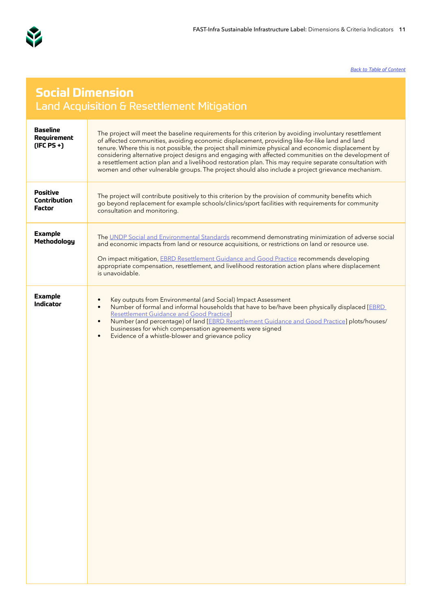<span id="page-10-0"></span>

## **Social Dimension**  Land Acquisition & Resettlement Mitigation

| <b>Baseline</b><br>Requirement<br>$(IFC PS +)$ | The project will meet the baseline requirements for this criterion by avoiding involuntary resettlement<br>of affected communities, avoiding economic displacement, providing like-for-like land and land<br>tenure. Where this is not possible, the project shall minimize physical and economic displacement by<br>considering alternative project designs and engaging with affected communities on the development of<br>a resettlement action plan and a livelihood restoration plan. This may require separate consultation with<br>women and other vulnerable groups. The project should also include a project grievance mechanism. |
|------------------------------------------------|---------------------------------------------------------------------------------------------------------------------------------------------------------------------------------------------------------------------------------------------------------------------------------------------------------------------------------------------------------------------------------------------------------------------------------------------------------------------------------------------------------------------------------------------------------------------------------------------------------------------------------------------|
| Positive<br>Contribution<br>Factor             | The project will contribute positively to this criterion by the provision of community benefits which<br>go beyond replacement for example schools/clinics/sport facilities with requirements for community<br>consultation and monitoring.                                                                                                                                                                                                                                                                                                                                                                                                 |
| <b>Example</b><br>Methodology                  | The UNDP Social and Environmental Standards recommend demonstrating minimization of adverse social<br>and economic impacts from land or resource acquisitions, or restrictions on land or resource use.<br>On impact mitigation, EBRD Resettlement Guidance and Good Practice recommends developing<br>appropriate compensation, resettlement, and livelihood restoration action plans where displacement<br>is unavoidable.                                                                                                                                                                                                                |
| <b>Example</b><br>Indicator                    | Key outputs from Environmental (and Social) Impact Assessment<br>$\bullet$<br>Number of formal and informal households that have to be/have been physically displaced [EBRD]<br>$\bullet$<br><b>Resettlement Guidance and Good Practice]</b><br>Number (and percentage) of land [EBRD Resettlement Guidance and Good Practice] plots/houses/<br>$\bullet$<br>businesses for which compensation agreements were signed<br>Evidence of a whistle-blower and grievance policy<br>$\bullet$                                                                                                                                                     |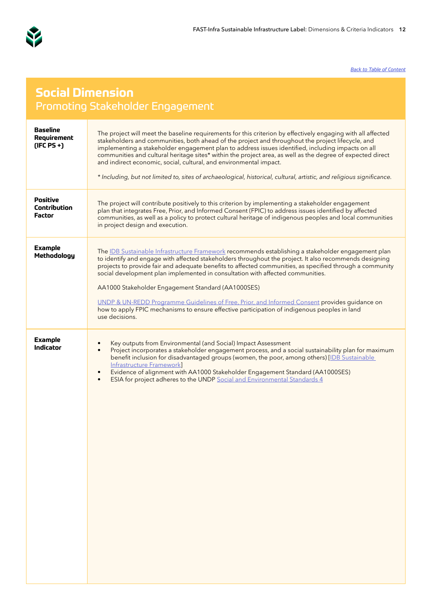<span id="page-11-0"></span>

## **Social Dimension**  Promoting Stakeholder Engagement

| <b>Baseline</b><br>Requirement<br>$(IFC PS +)$ | The project will meet the baseline requirements for this criterion by effectively engaging with all affected<br>stakeholders and communities, both ahead of the project and throughout the project lifecycle, and<br>implementing a stakeholder engagement plan to address issues identified, including impacts on all<br>communities and cultural heritage sites* within the project area, as well as the degree of expected direct<br>and indirect economic, social, cultural, and environmental impact.<br>* Including, but not limited to, sites of archaeological, historical, cultural, artistic, and religious significance.                                                 |
|------------------------------------------------|-------------------------------------------------------------------------------------------------------------------------------------------------------------------------------------------------------------------------------------------------------------------------------------------------------------------------------------------------------------------------------------------------------------------------------------------------------------------------------------------------------------------------------------------------------------------------------------------------------------------------------------------------------------------------------------|
| <b>Positive</b><br>Contribution<br>Factor      | The project will contribute positively to this criterion by implementing a stakeholder engagement<br>plan that integrates Free, Prior, and Informed Consent (FPIC) to address issues identified by affected<br>communities, as well as a policy to protect cultural heritage of indigenous peoples and local communities<br>in project design and execution.                                                                                                                                                                                                                                                                                                                        |
| <b>Example</b><br>Methodology                  | The IDB Sustainable Infrastructure Framework recommends establishing a stakeholder engagement plan<br>to identify and engage with affected stakeholders throughout the project. It also recommends designing<br>projects to provide fair and adequate benefits to affected communities, as specified through a community<br>social development plan implemented in consultation with affected communities.<br>AA1000 Stakeholder Engagement Standard (AA1000SES)<br>UNDP & UN-REDD Programme Guidelines of Free, Prior, and Informed Consent provides guidance on<br>how to apply FPIC mechanisms to ensure effective participation of indigenous peoples in land<br>use decisions. |
| <b>Example</b><br>Indicator                    | Key outputs from Environmental (and Social) Impact Assessment<br>٠<br>Project incorporates a stakeholder engagement process, and a social sustainability plan for maximum<br>$\bullet$<br>benefit inclusion for disadvantaged groups (women, the poor, among others) [IDB Sustainable<br><b>Infrastructure Framework</b><br>Evidence of alignment with AA1000 Stakeholder Engagement Standard (AA1000SES)<br>$\bullet$<br>ESIA for project adheres to the UNDP Social and Environmental Standards 4<br>$\bullet$                                                                                                                                                                    |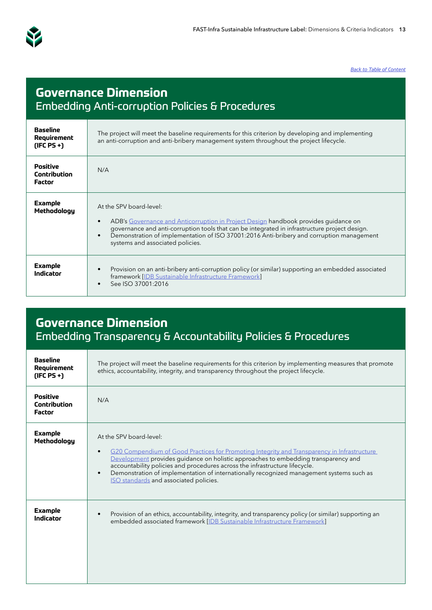<span id="page-12-0"></span>

# **Governance Dimension**  Embedding Anti-corruption Policies & Procedures

| <b>Baseline</b><br>Requirement<br>$(IFC PS +)$ | The project will meet the baseline requirements for this criterion by developing and implementing<br>an anti-corruption and anti-bribery management system throughout the project lifecycle.                                                                                                                                                    |
|------------------------------------------------|-------------------------------------------------------------------------------------------------------------------------------------------------------------------------------------------------------------------------------------------------------------------------------------------------------------------------------------------------|
| Positive<br>Contribution<br>Factor             | N/A                                                                                                                                                                                                                                                                                                                                             |
| <b>Example</b><br>Methodology                  | At the SPV board-level:<br>ADB's Governance and Anticorruption in Project Design handbook provides guidance on<br>governance and anti-corruption tools that can be integrated in infrastructure project design.<br>Demonstration of implementation of ISO 37001:2016 Anti-bribery and corruption management<br>systems and associated policies. |
| <b>Example</b><br>Indicator                    | Provision on an anti-bribery anti-corruption policy (or similar) supporting an embedded associated<br>framework [IDB Sustainable Infrastructure Framework]<br>See ISO 37001:2016                                                                                                                                                                |

## **Governance Dimension**  Embedding Transparency & Accountability Policies & Procedures

| <b>Baseline</b><br>Requirement<br>$(IFC PS +)$ | The project will meet the baseline requirements for this criterion by implementing measures that promote<br>ethics, accountability, integrity, and transparency throughout the project lifecycle.                                                                                                                                                                                                                                                           |
|------------------------------------------------|-------------------------------------------------------------------------------------------------------------------------------------------------------------------------------------------------------------------------------------------------------------------------------------------------------------------------------------------------------------------------------------------------------------------------------------------------------------|
| Positive<br>Contribution<br>Factor             | N/A                                                                                                                                                                                                                                                                                                                                                                                                                                                         |
| <b>Example</b><br>Methodology                  | At the SPV board-level:<br>G20 Compendium of Good Practices for Promoting Integrity and Transparency in Infrastructure<br>$\bullet$<br>Development provides guidance on holistic approaches to embedding transparency and<br>accountability policies and procedures across the infrastructure lifecycle.<br>Demonstration of implementation of internationally recognized management systems such as<br>$\bullet$<br>ISO standards and associated policies. |
| <b>Example</b><br>Indicator                    | Provision of an ethics, accountability, integrity, and transparency policy (or similar) supporting an<br>embedded associated framework [IDB Sustainable Infrastructure Framework]                                                                                                                                                                                                                                                                           |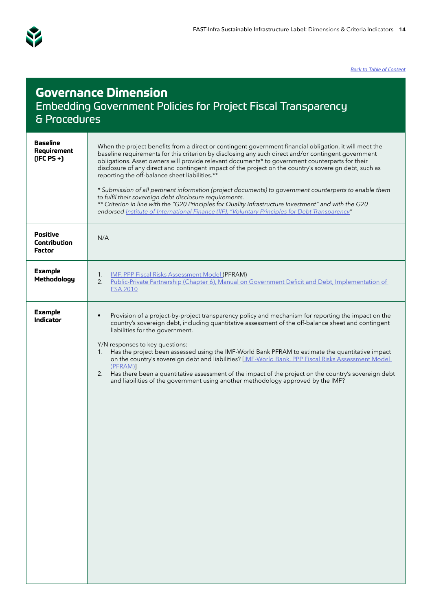<span id="page-13-0"></span>

## **Governance Dimension**  Embedding Government Policies for Project Fiscal Transparency & Procedures **Baseline Requirement (IFC PS +)** When the project benefits from a direct or contingent government financial obligation, it will meet the baseline requirements for this criterion by disclosing any such direct and/or contingent government obligations. Asset owners will provide relevant documents\* to government counterparts for their disclosure of any direct and contingent impact of the project on the country's sovereign debt, such as reporting the off-balance sheet liabilities.\*\* *\* Submission of all pertinent information (project documents) to government counterparts to enable them to fulfil their sovereign debt disclosure requirements. \*\* Criterion in line with the "G20 Principles for Quality Infrastructure Investment" and with the G20 endorsed [Institute of International Finance \(IIF\), "Voluntary Principles for Debt Transparency](https://www.iif.com/Publications/ID/3387/PageID/3387/Voluntary-Principles-For-Debt-Transparency)"* **Positive Contribution Factor** N/A **Example Example**<br>**Methodology** 1. <u>[IMF, PPP Fiscal Risks Assessment Model](https://www.imf.org/external/np/fad/publicinvestment/pdf/PFRAM.pdf) (</u>PFRAM)<br>2. Public-Private Partnership (Chapter 6) Manual on Public-Private Partnership (Chapter 6), Manual on Government Deficit and Debt, Implementation of [ESA 2010](https://op.europa.eu/en/publication-detail/-/publication/ae55b3f1-be3f-11e9-9d01-01aa75ed71a1/language-en/format-PDF) **Example Indicator** • Provision of a project-by-project transparency policy and mechanism for reporting the impact on the indicator country's sovereign debt, including quantitative assessment of the off-balance sheet and contingent liabilities for the government. Y/N responses to key questions: 1. Has the project been assessed using the IMF-World Bank PFRAM to estimate the quantitative impact on the country's sovereign debt and liabilities? [[IMF-World Bank, PPP Fiscal Risks Assessment Model](https://www.imf.org/external/np/fad/publicinvestment/pdf/PFRAM.pdf)  [\(PFRAM\)](https://www.imf.org/external/np/fad/publicinvestment/pdf/PFRAM.pdf)] 2. Has there been a quantitative assessment of the impact of the project on the country's sovereign debt and liabilities of the government using another methodology approved by the IMF?